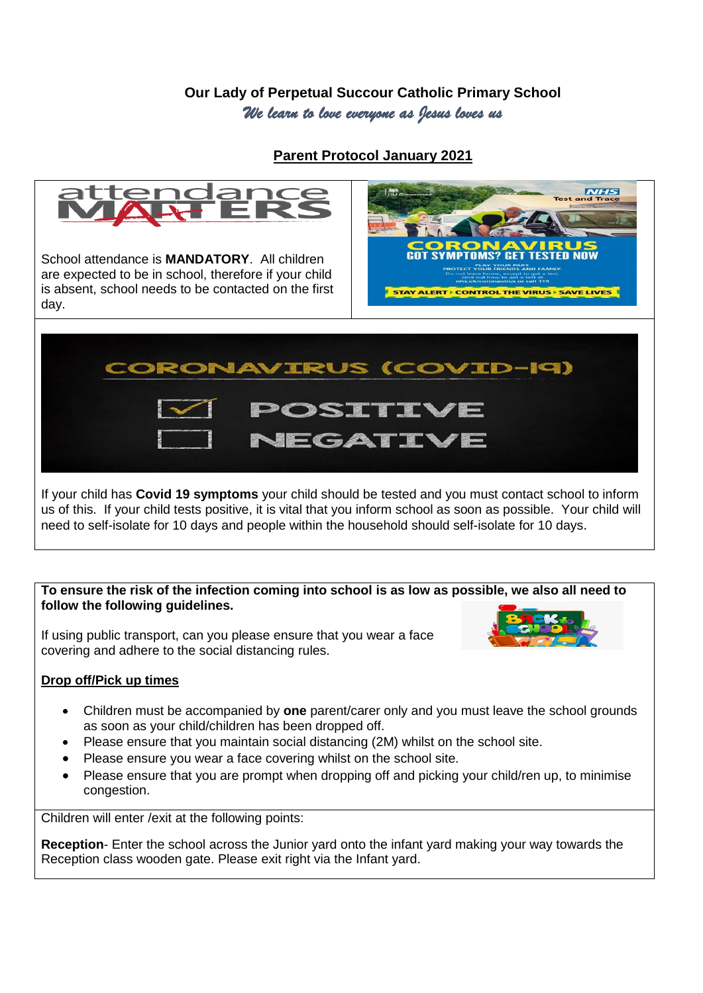## **Our Lady of Perpetual Succour Catholic Primary School** *We learn to love everyone as Jesus loves us*

**Parent Protocol January 2021**



If your child has **Covid 19 symptoms** your child should be tested and you must contact school to inform us of this. If your child tests positive, it is vital that you inform school as soon as possible. Your child will need to self-isolate for 10 days and people within the household should self-isolate for 10 days.

#### **To ensure the risk of the infection coming into school is as low as possible, we also all need to follow the following guidelines.**

If using public transport, can you please ensure that you wear a face covering and adhere to the social distancing rules.



### **Drop off/Pick up times**

- Children must be accompanied by **one** parent/carer only and you must leave the school grounds as soon as your child/children has been dropped off.
- Please ensure that you maintain social distancing (2M) whilst on the school site.
- Please ensure you wear a face covering whilst on the school site.
- Please ensure that you are prompt when dropping off and picking your child/ren up, to minimise congestion.

Children will enter /exit at the following points:

**Reception**- Enter the school across the Junior yard onto the infant yard making your way towards the Reception class wooden gate. Please exit right via the Infant yard.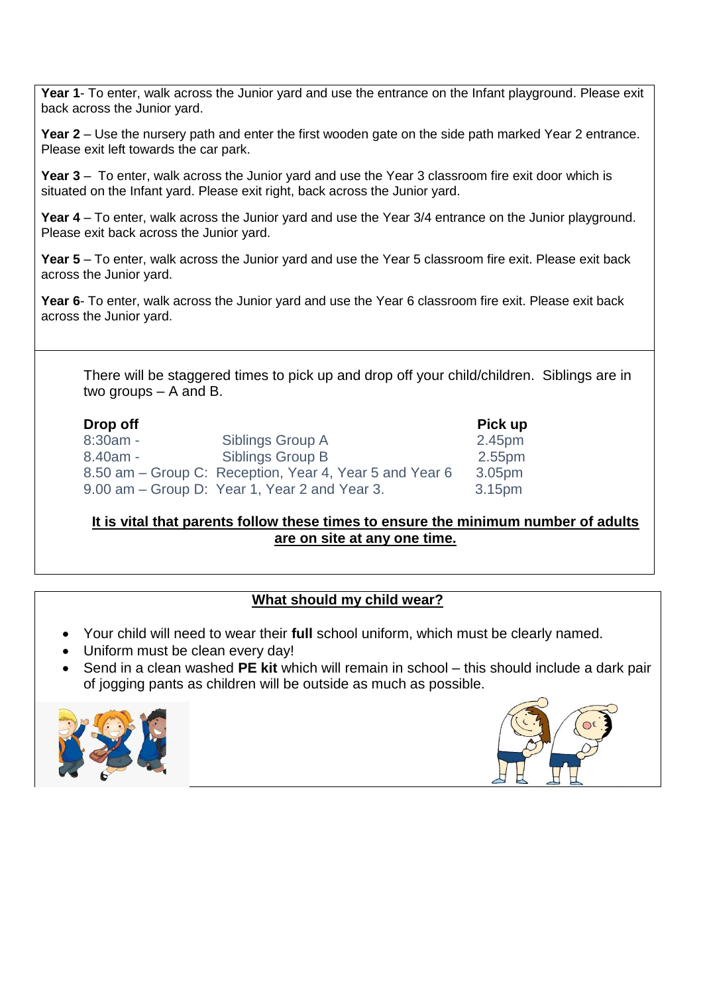Year 1- To enter, walk across the Junior yard and use the entrance on the Infant playground. Please exit back across the Junior yard.

**Year 2** – Use the nursery path and enter the first wooden gate on the side path marked Year 2 entrance. Please exit left towards the car park.

**Year 3** – To enter, walk across the Junior yard and use the Year 3 classroom fire exit door which is situated on the Infant yard. Please exit right, back across the Junior yard.

**Year 4** – To enter, walk across the Junior yard and use the Year 3/4 entrance on the Junior playground. Please exit back across the Junior yard.

**Year 5** – To enter, walk across the Junior yard and use the Year 5 classroom fire exit. Please exit back across the Junior yard.

**Year 6**- To enter, walk across the Junior yard and use the Year 6 classroom fire exit. Please exit back across the Junior yard.

There will be staggered times to pick up and drop off your child/children. Siblings are in two groups – A and B.

| Drop off   |                                                         | Pick up            |
|------------|---------------------------------------------------------|--------------------|
| $8:30am -$ | Siblings Group A                                        | 2.45pm             |
| $8.40am -$ | Siblings Group B                                        | 2.55pm             |
|            | 8.50 am – Group C: Reception, Year 4, Year 5 and Year 6 | 3.05 <sub>pm</sub> |
|            | 9.00 am – Group D: Year 1, Year 2 and Year 3.           | 3.15pm             |

#### **It is vital that parents follow these times to ensure the minimum number of adults are on site at any one time.**

### **What should my child wear?**

- Your child will need to wear their **full** school uniform, which must be clearly named.
- Uniform must be clean every day!
- Send in a clean washed **PE kit** which will remain in school this should include a dark pair of jogging pants as children will be outside as much as possible.



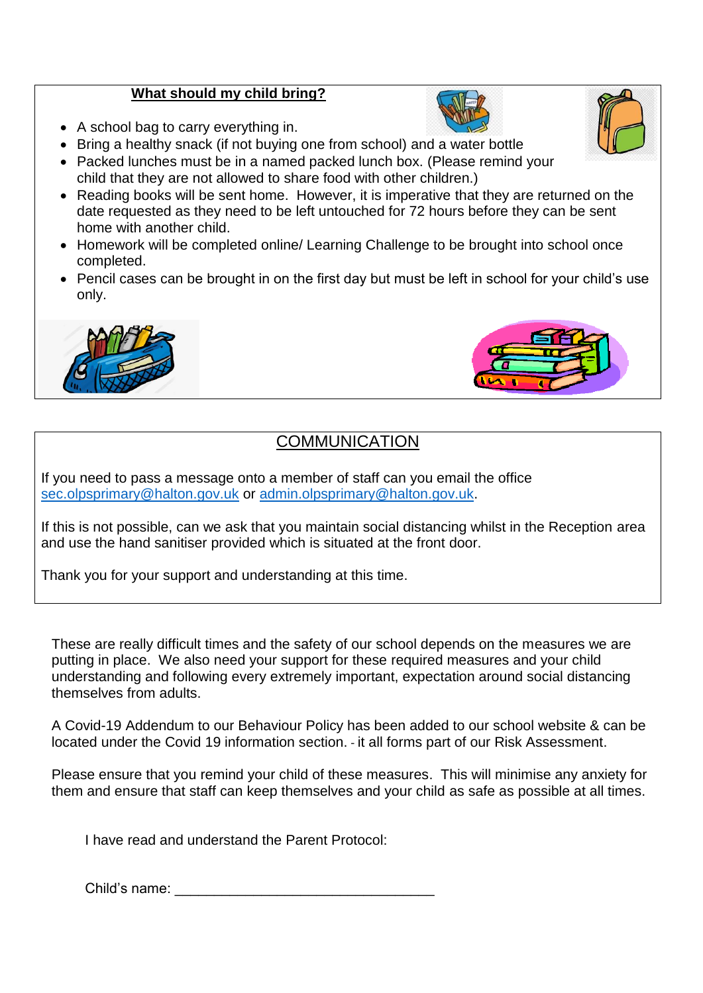## **What should my child bring?**

- A school bag to carry everything in.
- Bring a healthy snack (if not buying one from school) and a water bottle
- Packed lunches must be in a named packed lunch box. (Please remind your child that they are not allowed to share food with other children.)
- Reading books will be sent home. However, it is imperative that they are returned on the date requested as they need to be left untouched for 72 hours before they can be sent home with another child.
- Homework will be completed online/ Learning Challenge to be brought into school once completed.
- Pencil cases can be brought in on the first day but must be left in school for your child's use only.





# **COMMUNICATION**

If you need to pass a message onto a member of staff can you email the office [sec.olpsprimary@halton.gov.uk](mailto:sec.olpsprimary@halton.gov.uk) or [admin.olpsprimary@halton.gov.uk.](mailto:admin.olpsprimary@halton.gov.uk)

If this is not possible, can we ask that you maintain social distancing whilst in the Reception area and use the hand sanitiser provided which is situated at the front door.

Thank you for your support and understanding at this time.

These are really difficult times and the safety of our school depends on the measures we are putting in place. We also need your support for these required measures and your child understanding and following every extremely important, expectation around social distancing themselves from adults.

A Covid-19 Addendum to our Behaviour Policy has been added to our school website & can be located under the Covid 19 information section. - it all forms part of our Risk Assessment.

Please ensure that you remind your child of these measures. This will minimise any anxiety for them and ensure that staff can keep themselves and your child as safe as possible at all times.

I have read and understand the Parent Protocol:

Child's name: \_\_\_\_\_\_\_\_\_\_\_\_\_\_\_\_\_\_\_\_\_\_\_\_\_\_\_\_\_\_\_\_\_